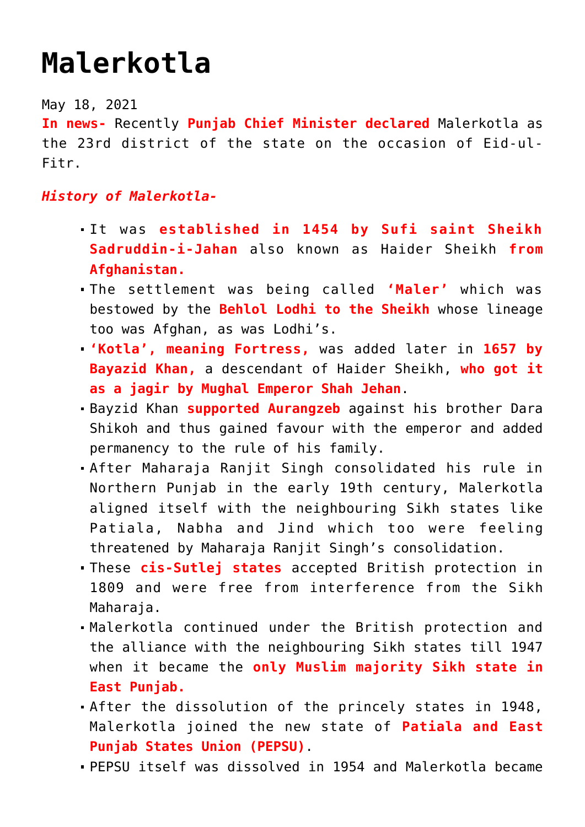## **[Malerkotla](https://journalsofindia.com/malerkotla/)**

May 18, 2021

**In news-** Recently **Punjab Chief Minister declared** Malerkotla as the 23rd district of the state on the occasion of Eid-ul-Fitr.

## *History of Malerkotla-*

- It was **established in 1454 by Sufi saint Sheikh Sadruddin-i-Jahan** also known as Haider Sheikh **from Afghanistan.**
- The settlement was being called **'Maler'** which was bestowed by the **Behlol Lodhi to the Sheikh** whose lineage too was Afghan, as was Lodhi's.
- **'Kotla', meaning Fortress,** was added later in **1657 by Bayazid Khan,** a descendant of Haider Sheikh, **who got it as a jagir by Mughal Emperor Shah Jehan**.
- Bayzid Khan **supported Aurangzeb** against his brother Dara Shikoh and thus gained favour with the emperor and added permanency to the rule of his family.
- After Maharaja Ranjit Singh consolidated his rule in Northern Punjab in the early 19th century, Malerkotla aligned itself with the neighbouring Sikh states like Patiala, Nabha and Jind which too were feeling threatened by Maharaja Ranjit Singh's consolidation.
- These **cis-Sutlej states** accepted British protection in 1809 and were free from interference from the Sikh Maharaia.
- Malerkotla continued under the British protection and the alliance with the neighbouring Sikh states till 1947 when it became the **only Muslim majority Sikh state in East Punjab.**
- After the dissolution of the princely states in 1948, Malerkotla joined the new state of **Patiala and East Punjab States Union (PEPSU)**.
- PEPSU itself was dissolved in 1954 and Malerkotla became